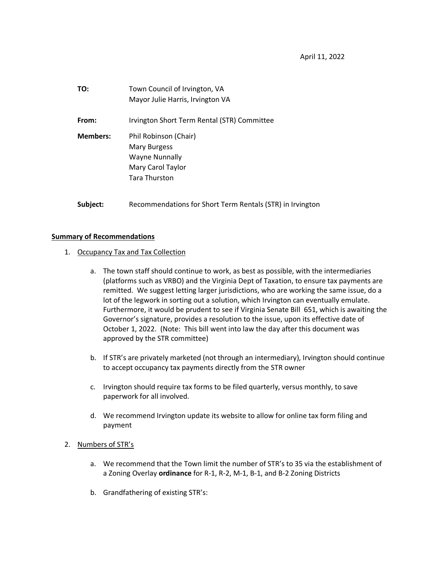| TO:             | Town Council of Irvington, VA<br>Mayor Julie Harris, Irvington VA                                           |
|-----------------|-------------------------------------------------------------------------------------------------------------|
| From:           | Irvington Short Term Rental (STR) Committee                                                                 |
| <b>Members:</b> | Phil Robinson (Chair)<br>Mary Burgess<br><b>Wayne Nunnally</b><br>Mary Carol Taylor<br><b>Tara Thurston</b> |

**Subject:** Recommendations for Short Term Rentals (STR) in Irvington

# **Summary of Recommendations**

- 1. Occupancy Tax and Tax Collection
	- a. The town staff should continue to work, as best as possible, with the intermediaries (platforms such as VRBO) and the Virginia Dept of Taxation, to ensure tax payments are remitted. We suggest letting larger jurisdictions, who are working the same issue, do a lot of the legwork in sorting out a solution, which Irvington can eventually emulate. Furthermore, it would be prudent to see if Virginia Senate Bill 651, which is awaiting the Governor's signature, provides a resolution to the issue, upon its effective date of October 1, 2022. (Note: This bill went into law the day after this document was approved by the STR committee)
	- b. If STR's are privately marketed (not through an intermediary), Irvington should continue to accept occupancy tax payments directly from the STR owner
	- c. Irvington should require tax forms to be filed quarterly, versus monthly, to save paperwork for all involved.
	- d. We recommend Irvington update its website to allow for online tax form filing and payment

### 2. Numbers of STR's

- a. We recommend that the Town limit the number of STR's to 35 via the establishment of a Zoning Overlay **ordinance** for R-1, R-2, M-1, B-1, and B-2 Zoning Districts
- b. Grandfathering of existing STR's: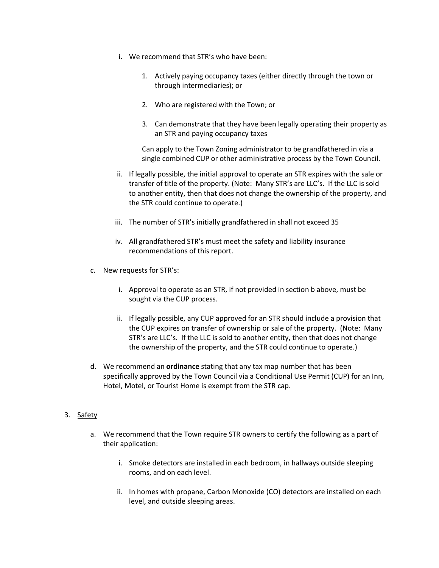- i. We recommend that STR's who have been:
	- 1. Actively paying occupancy taxes (either directly through the town or through intermediaries); or
	- 2. Who are registered with the Town; or
	- 3. Can demonstrate that they have been legally operating their property as an STR and paying occupancy taxes

Can apply to the Town Zoning administrator to be grandfathered in via a single combined CUP or other administrative process by the Town Council.

- ii. If legally possible, the initial approval to operate an STR expires with the sale or transfer of title of the property. (Note: Many STR's are LLC's. If the LLC is sold to another entity, then that does not change the ownership of the property, and the STR could continue to operate.)
- iii. The number of STR's initially grandfathered in shall not exceed 35
- iv. All grandfathered STR's must meet the safety and liability insurance recommendations of this report.
- c. New requests for STR's:
	- i. Approval to operate as an STR, if not provided in section b above, must be sought via the CUP process.
	- ii. If legally possible, any CUP approved for an STR should include a provision that the CUP expires on transfer of ownership or sale of the property. (Note: Many STR's are LLC's. If the LLC is sold to another entity, then that does not change the ownership of the property, and the STR could continue to operate.)
- d. We recommend an **ordinance** stating that any tax map number that has been specifically approved by the Town Council via a Conditional Use Permit (CUP) for an Inn, Hotel, Motel, or Tourist Home is exempt from the STR cap.

# 3. Safety

- a. We recommend that the Town require STR owners to certify the following as a part of their application:
	- i. Smoke detectors are installed in each bedroom, in hallways outside sleeping rooms, and on each level.
	- ii. In homes with propane, Carbon Monoxide (CO) detectors are installed on each level, and outside sleeping areas.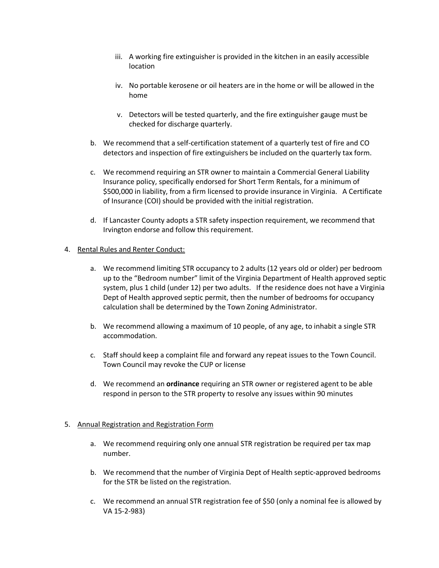- iii. A working fire extinguisher is provided in the kitchen in an easily accessible location
- iv. No portable kerosene or oil heaters are in the home or will be allowed in the home
- v. Detectors will be tested quarterly, and the fire extinguisher gauge must be checked for discharge quarterly.
- b. We recommend that a self-certification statement of a quarterly test of fire and CO detectors and inspection of fire extinguishers be included on the quarterly tax form.
- c. We recommend requiring an STR owner to maintain a Commercial General Liability Insurance policy, specifically endorsed for Short Term Rentals, for a minimum of \$500,000 in liability, from a firm licensed to provide insurance in Virginia. A Certificate of Insurance (COI) should be provided with the initial registration.
- d. If Lancaster County adopts a STR safety inspection requirement, we recommend that Irvington endorse and follow this requirement.

# 4. Rental Rules and Renter Conduct:

- a. We recommend limiting STR occupancy to 2 adults (12 years old or older) per bedroom up to the "Bedroom number" limit of the Virginia Department of Health approved septic system, plus 1 child (under 12) per two adults. If the residence does not have a Virginia Dept of Health approved septic permit, then the number of bedrooms for occupancy calculation shall be determined by the Town Zoning Administrator.
- b. We recommend allowing a maximum of 10 people, of any age, to inhabit a single STR accommodation.
- c. Staff should keep a complaint file and forward any repeat issues to the Town Council. Town Council may revoke the CUP or license
- d. We recommend an **ordinance** requiring an STR owner or registered agent to be able respond in person to the STR property to resolve any issues within 90 minutes

### 5. Annual Registration and Registration Form

- a. We recommend requiring only one annual STR registration be required per tax map number.
- b. We recommend that the number of Virginia Dept of Health septic-approved bedrooms for the STR be listed on the registration.
- c. We recommend an annual STR registration fee of \$50 (only a nominal fee is allowed by VA 15-2-983)